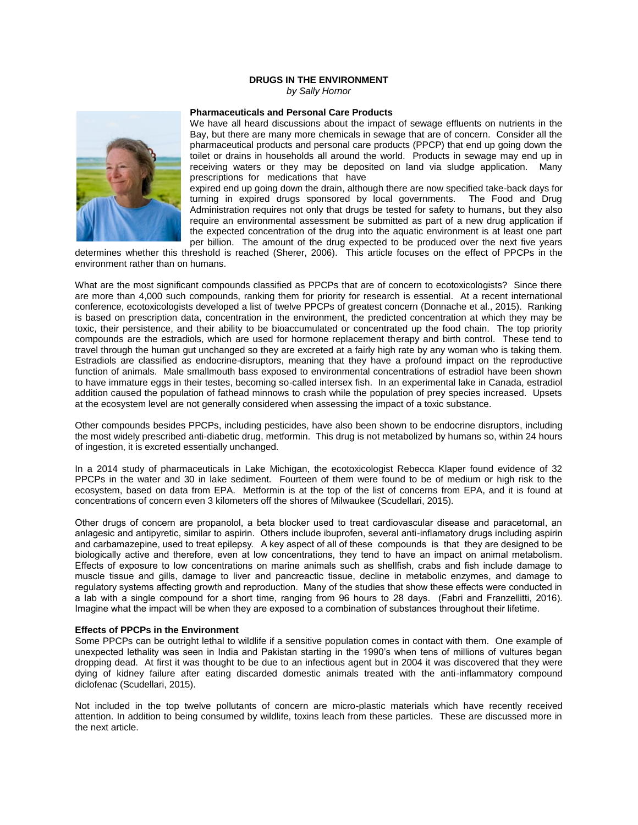# **DRUGS IN THE ENVIRONMENT**

*by Sally Hornor*



# **Pharmaceuticals and Personal Care Products**

We have all heard discussions about the impact of sewage effluents on nutrients in the Bay, but there are many more chemicals in sewage that are of concern. Consider all the pharmaceutical products and personal care products (PPCP) that end up going down the toilet or drains in households all around the world. Products in sewage may end up in receiving waters or they may be deposited on land via sludge application. Many prescriptions for medications that have

expired end up going down the drain, although there are now specified take-back days for turning in expired drugs sponsored by local governments. The Food and Drug Administration requires not only that drugs be tested for safety to humans, but they also require an environmental assessment be submitted as part of a new drug application if the expected concentration of the drug into the aquatic environment is at least one part per billion. The amount of the drug expected to be produced over the next five years

determines whether this threshold is reached (Sherer, 2006). This article focuses on the effect of PPCPs in the environment rather than on humans.

What are the most significant compounds classified as PPCPs that are of concern to ecotoxicologists? Since there are more than 4,000 such compounds, ranking them for priority for research is essential. At a recent international conference, ecotoxicologists developed a list of twelve PPCPs of greatest concern (Donnache et al., 2015). Ranking is based on prescription data, concentration in the environment, the predicted concentration at which they may be toxic, their persistence, and their ability to be bioaccumulated or concentrated up the food chain. The top priority compounds are the estradiols, which are used for hormone replacement therapy and birth control. These tend to travel through the human gut unchanged so they are excreted at a fairly high rate by any woman who is taking them. Estradiols are classified as endocrine-disruptors, meaning that they have a profound impact on the reproductive function of animals. Male smallmouth bass exposed to environmental concentrations of estradiol have been shown to have immature eggs in their testes, becoming so-called intersex fish. In an experimental lake in Canada, estradiol addition caused the population of fathead minnows to crash while the population of prey species increased. Upsets at the ecosystem level are not generally considered when assessing the impact of a toxic substance.

Other compounds besides PPCPs, including pesticides, have also been shown to be endocrine disruptors, including the most widely prescribed anti-diabetic drug, metformin. This drug is not metabolized by humans so, within 24 hours of ingestion, it is excreted essentially unchanged.

In a 2014 study of pharmaceuticals in Lake Michigan, the ecotoxicologist Rebecca Klaper found evidence of 32 PPCPs in the water and 30 in lake sediment. Fourteen of them were found to be of medium or high risk to the ecosystem, based on data from EPA. Metformin is at the top of the list of concerns from EPA, and it is found at concentrations of concern even 3 kilometers off the shores of Milwaukee (Scudellari, 2015).

Other drugs of concern are propanolol, a beta blocker used to treat cardiovascular disease and paracetomal, an anlagesic and antipyretic, similar to aspirin. Others include ibuprofen, several anti-inflamatory drugs including aspirin and carbamazepine, used to treat epilepsy. A key aspect of all of these compounds is that they are designed to be biologically active and therefore, even at low concentrations, they tend to have an impact on animal metabolism. Effects of exposure to low concentrations on marine animals such as shellfish, crabs and fish include damage to muscle tissue and gills, damage to liver and pancreactic tissue, decline in metabolic enzymes, and damage to regulatory systems affecting growth and reproduction. Many of the studies that show these effects were conducted in a lab with a single compound for a short time, ranging from 96 hours to 28 days. (Fabri and Franzellitti, 2016). Imagine what the impact will be when they are exposed to a combination of substances throughout their lifetime.

# **Effects of PPCPs in the Environment**

Some PPCPs can be outright lethal to wildlife if a sensitive population comes in contact with them. One example of unexpected lethality was seen in India and Pakistan starting in the 1990's when tens of millions of vultures began dropping dead. At first it was thought to be due to an infectious agent but in 2004 it was discovered that they were dying of kidney failure after eating discarded domestic animals treated with the anti-inflammatory compound diclofenac (Scudellari, 2015).

Not included in the top twelve pollutants of concern are micro-plastic materials which have recently received attention. In addition to being consumed by wildlife, toxins leach from these particles. These are discussed more in the next article.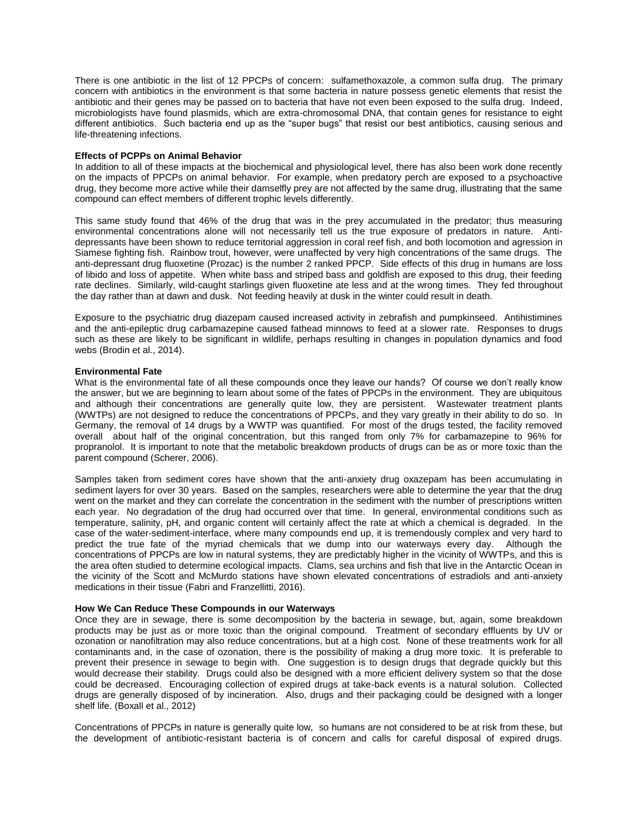There is one antibiotic in the list of 12 PPCPs of concern: sulfamethoxazole, a common sulfa drug. The primary concern with antibiotics in the environment is that some bacteria in nature possess genetic elements that resist the antibiotic and their genes may be passed on to bacteria that have not even been exposed to the sulfa drug. Indeed, microbiologists have found plasmids, which are extra-chromosomal DNA, that contain genes for resistance to eight different antibiotics. Such bacteria end up as the "super bugs" that resist our best antibiotics, causing serious and life-threatening infections.

### **Effects of PCPPs on Animal Behavior**

In addition to all of these impacts at the biochemical and physiological level, there has also been work done recently on the impacts of PPCPs on animal behavior. For example, when predatory perch are exposed to a psychoactive drug, they become more active while their damselfly prey are not affected by the same drug, illustrating that the same compound can effect members of different trophic levels differently.

This same study found that 46% of the drug that was in the prey accumulated in the predator; thus measuring environmental concentrations alone will not necessarily tell us the true exposure of predators in nature. Antidepressants have been shown to reduce territorial aggression in coral reef fish, and both locomotion and agression in Siamese fighting fish. Rainbow trout, however, were unaffected by very high concentrations of the same drugs. The anti-depressant drug fluoxetine (Prozac) is the number 2 ranked PPCP. Side effects of this drug in humans are loss of libido and loss of appetite. When white bass and striped bass and goldfish are exposed to this drug, their feeding rate declines. Similarly, wild-caught starlings given fluoxetine ate less and at the wrong times. They fed throughout the day rather than at dawn and dusk. Not feeding heavily at dusk in the winter could result in death.

Exposure to the psychiatric drug diazepam caused increased activity in zebrafish and pumpkinseed. Antihistimines and the anti-epileptic drug carbamazepine caused fathead minnows to feed at a slower rate. Responses to drugs such as these are likely to be significant in wildlife, perhaps resulting in changes in population dynamics and food webs (Brodin et al., 2014).

# **Environmental Fate**

What is the environmental fate of all these compounds once they leave our hands? Of course we don't really know the answer, but we are beginning to learn about some of the fates of PPCPs in the environment. They are ubiquitous and although their concentrations are generally quite low, they are persistent. Wastewater treatment plants (WWTPs) are not designed to reduce the concentrations of PPCPs, and they vary greatly in their ability to do so. In Germany, the removal of 14 drugs by a WWTP was quantified. For most of the drugs tested, the facility removed overall about half of the original concentration, but this ranged from only 7% for carbamazepine to 96% for propranolol. It is important to note that the metabolic breakdown products of drugs can be as or more toxic than the parent compound (Scherer, 2006).

Samples taken from sediment cores have shown that the anti-anxiety drug oxazepam has been accumulating in sediment layers for over 30 years. Based on the samples, researchers were able to determine the year that the drug went on the market and they can correlate the concentration in the sediment with the number of prescriptions written each year. No degradation of the drug had occurred over that time. In general, environmental conditions such as temperature, salinity, pH, and organic content will certainly affect the rate at which a chemical is degraded. In the case of the water-sediment-interface, where many compounds end up, it is tremendously complex and very hard to predict the true fate of the myriad chemicals that we dump into our waterways every day. Although the concentrations of PPCPs are low in natural systems, they are predictably higher in the vicinity of WWTPs, and this is the area often studied to determine ecological impacts. Clams, sea urchins and fish that live in the Antarctic Ocean in the vicinity of the Scott and McMurdo stations have shown elevated concentrations of estradiols and anti-anxiety medications in their tissue (Fabri and Franzellitti, 2016).

# **How We Can Reduce These Compounds in our Waterways**

Once they are in sewage, there is some decomposition by the bacteria in sewage, but, again, some breakdown products may be just as or more toxic than the original compound. Treatment of secondary effluents by UV or ozonation or nanofiltration may also reduce concentrations, but at a high cost. None of these treatments work for all contaminants and, in the case of ozonation, there is the possibility of making a drug more toxic. It is preferable to prevent their presence in sewage to begin with. One suggestion is to design drugs that degrade quickly but this would decrease their stability. Drugs could also be designed with a more efficient delivery system so that the dose could be decreased. Encouraging collection of expired drugs at take-back events is a natural solution. Collected drugs are generally disposed of by incineration. Also, drugs and their packaging could be designed with a longer shelf life. (Boxall et al., 2012)

Concentrations of PPCPs in nature is generally quite low, so humans are not considered to be at risk from these, but the development of antibiotic-resistant bacteria is of concern and calls for careful disposal of expired drugs.